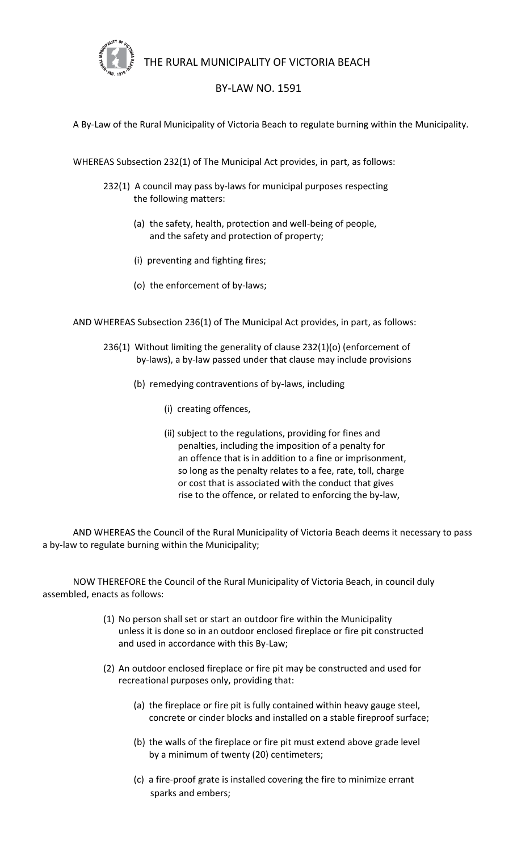

THE RURAL MUNICIPALITY OF VICTORIA BEACH

## BY-LAW NO. 1591

A By-Law of the Rural Municipality of Victoria Beach to regulate burning within the Municipality.

WHEREAS Subsection 232(1) of The Municipal Act provides, in part, as follows:

- 232(1) A council may pass by-laws for municipal purposes respecting the following matters:
	- (a) the safety, health, protection and well-being of people, and the safety and protection of property;
	- (i) preventing and fighting fires;
	- (o) the enforcement of by-laws;

AND WHEREAS Subsection 236(1) of The Municipal Act provides, in part, as follows:

- 236(1) Without limiting the generality of clause 232(1)(o) (enforcement of by-laws), a by-law passed under that clause may include provisions
	- (b) remedying contraventions of by-laws, including
		- (i) creating offences,
		- (ii) subject to the regulations, providing for fines and penalties, including the imposition of a penalty for an offence that is in addition to a fine or imprisonment, so long as the penalty relates to a fee, rate, toll, charge or cost that is associated with the conduct that gives rise to the offence, or related to enforcing the by-law,

AND WHEREAS the Council of the Rural Municipality of Victoria Beach deems it necessary to pass a by-law to regulate burning within the Municipality;

NOW THEREFORE the Council of the Rural Municipality of Victoria Beach, in council duly assembled, enacts as follows:

- (1) No person shall set or start an outdoor fire within the Municipality unless it is done so in an outdoor enclosed fireplace or fire pit constructed and used in accordance with this By-Law;
- (2) An outdoor enclosed fireplace or fire pit may be constructed and used for recreational purposes only, providing that:
	- (a) the fireplace or fire pit is fully contained within heavy gauge steel, concrete or cinder blocks and installed on a stable fireproof surface;
	- (b) the walls of the fireplace or fire pit must extend above grade level by a minimum of twenty (20) centimeters;
	- (c) a fire-proof grate is installed covering the fire to minimize errant sparks and embers;